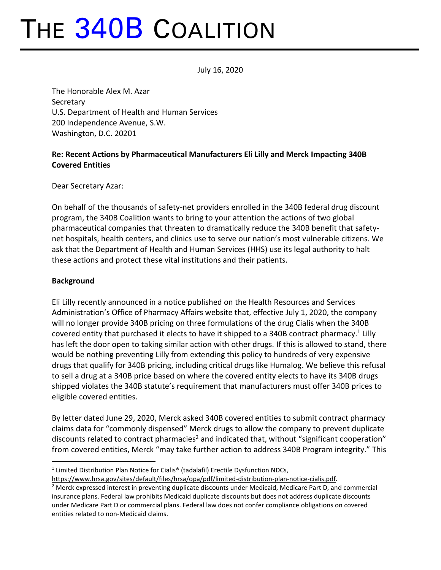# THE 340B COALITION

July 16, 2020

The Honorable Alex M. Azar **Secretary** U.S. Department of Health and Human Services 200 Independence Avenue, S.W. Washington, D.C. 20201

## **Re: Recent Actions by Pharmaceutical Manufacturers Eli Lilly and Merck Impacting 340B Covered Entities**

Dear Secretary Azar:

On behalf of the thousands of safety-net providers enrolled in the 340B federal drug discount program, the 340B Coalition wants to bring to your attention the actions of two global pharmaceutical companies that threaten to dramatically reduce the 340B benefit that safetynet hospitals, health centers, and clinics use to serve our nation's most vulnerable citizens. We ask that the Department of Health and Human Services (HHS) use its legal authority to halt these actions and protect these vital institutions and their patients.

#### **Background**

Eli Lilly recently announced in a notice published on the Health Resources and Services Administration's Office of Pharmacy Affairs website that, effective July 1, 2020, the company will no longer provide 340B pricing on three formulations of the drug Cialis when the 340B covered entity that purchased it elects to have it shipped to a 340B contract pharmacy.<sup>1</sup> Lilly has left the door open to taking similar action with other drugs. If this is allowed to stand, there would be nothing preventing Lilly from extending this policy to hundreds of very expensive drugs that qualify for 340B pricing, including critical drugs like Humalog. We believe this refusal to sell a drug at a 340B price based on where the covered entity elects to have its 340B drugs shipped violates the 340B statute's requirement that manufacturers must offer 340B prices to eligible covered entities.

By letter dated June 29, 2020, Merck asked 340B covered entities to submit contract pharmacy claims data for "commonly dispensed" Merck drugs to allow the company to prevent duplicate discounts related to contract pharmacies<sup>2</sup> and indicated that, without "significant cooperation" from covered entities, Merck "may take further action to address 340B Program integrity." This

<sup>&</sup>lt;sup>1</sup> Limited Distribution Plan Notice for Cialis® (tadalafil) Erectile Dysfunction NDCs,

[https://www.hrsa.gov/sites/default/files/hrsa/opa/pdf/limited-distribution-plan-notice-cialis.pdf.](https://www.hrsa.gov/sites/default/files/hrsa/opa/pdf/limited-distribution-plan-notice-cialis.pdf)

<sup>&</sup>lt;sup>2</sup> Merck expressed interest in preventing duplicate discounts under Medicaid, Medicare Part D, and commercial insurance plans. Federal law prohibits Medicaid duplicate discounts but does not address duplicate discounts under Medicare Part D or commercial plans. Federal law does not confer compliance obligations on covered entities related to non-Medicaid claims.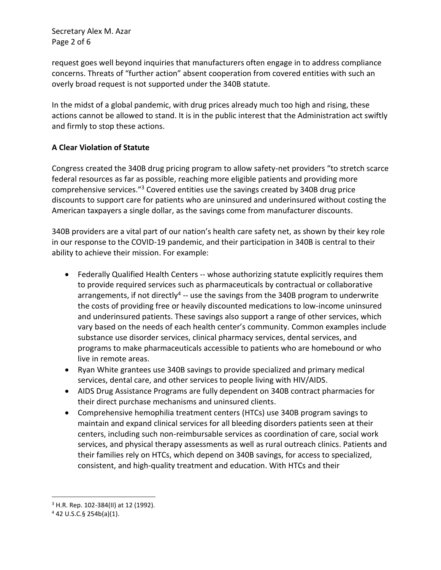Secretary Alex M. Azar Page 2 of 6

request goes well beyond inquiries that manufacturers often engage in to address compliance concerns. Threats of "further action" absent cooperation from covered entities with such an overly broad request is not supported under the 340B statute.

In the midst of a global pandemic, with drug prices already much too high and rising, these actions cannot be allowed to stand. It is in the public interest that the Administration act swiftly and firmly to stop these actions.

#### **A Clear Violation of Statute**

Congress created the 340B drug pricing program to allow safety-net providers "to stretch scarce federal resources as far as possible, reaching more eligible patients and providing more comprehensive services."<sup>3</sup> Covered entities use the savings created by 340B drug price discounts to support care for patients who are uninsured and underinsured without costing the American taxpayers a single dollar, as the savings come from manufacturer discounts.

340B providers are a vital part of our nation's health care safety net, as shown by their key role in our response to the COVID-19 pandemic, and their participation in 340B is central to their ability to achieve their mission. For example:

- Federally Qualified Health Centers -- whose authorizing statute explicitly requires them to provide required services such as pharmaceuticals by contractual or collaborative arrangements, if not directly<sup>4</sup> -- use the savings from the 340B program to underwrite the costs of providing free or heavily discounted medications to low-income uninsured and underinsured patients. These savings also support a range of other services, which vary based on the needs of each health center's community. Common examples include substance use disorder services, clinical pharmacy services, dental services, and programs to make pharmaceuticals accessible to patients who are homebound or who live in remote areas.
- Ryan White grantees use 340B savings to provide specialized and primary medical services, dental care, and other services to people living with HIV/AIDS.
- AIDS Drug Assistance Programs are fully dependent on 340B contract pharmacies for their direct purchase mechanisms and uninsured clients.
- Comprehensive hemophilia treatment centers (HTCs) use 340B program savings to maintain and expand clinical services for all bleeding disorders patients seen at their centers, including such non-reimbursable services as coordination of care, social work services, and physical therapy assessments as well as rural outreach clinics. Patients and their families rely on HTCs, which depend on 340B savings, for access to specialized, consistent, and high-quality treatment and education. With HTCs and their

<sup>3</sup> H.R. Rep. 102-384(II) at 12 (1992).

 $4$  42 U.S.C.§ 254b(a)(1).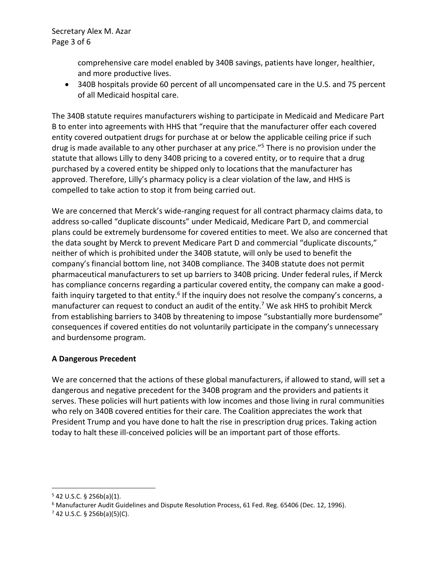comprehensive care model enabled by 340B savings, patients have longer, healthier, and more productive lives.

• 340B hospitals provide 60 percent of all uncompensated care in the U.S. and 75 percent of all Medicaid hospital care.

The 340B statute requires manufacturers wishing to participate in Medicaid and Medicare Part B to enter into agreements with HHS that "require that the manufacturer offer each covered entity covered outpatient drugs for purchase at or below the applicable ceiling price if such drug is made available to any other purchaser at any price."<sup>5</sup> There is no provision under the statute that allows Lilly to deny 340B pricing to a covered entity, or to require that a drug purchased by a covered entity be shipped only to locations that the manufacturer has approved. Therefore, Lilly's pharmacy policy is a clear violation of the law, and HHS is compelled to take action to stop it from being carried out.

We are concerned that Merck's wide-ranging request for all contract pharmacy claims data, to address so-called "duplicate discounts" under Medicaid, Medicare Part D, and commercial plans could be extremely burdensome for covered entities to meet. We also are concerned that the data sought by Merck to prevent Medicare Part D and commercial "duplicate discounts," neither of which is prohibited under the 340B statute, will only be used to benefit the company's financial bottom line, not 340B compliance. The 340B statute does not permit pharmaceutical manufacturers to set up barriers to 340B pricing. Under federal rules, if Merck has compliance concerns regarding a particular covered entity, the company can make a goodfaith inquiry targeted to that entity.<sup>6</sup> If the inquiry does not resolve the company's concerns, a manufacturer can request to conduct an audit of the entity.<sup>7</sup> We ask HHS to prohibit Merck from establishing barriers to 340B by threatening to impose "substantially more burdensome" consequences if covered entities do not voluntarily participate in the company's unnecessary and burdensome program.

### **A Dangerous Precedent**

We are concerned that the actions of these global manufacturers, if allowed to stand, will set a dangerous and negative precedent for the 340B program and the providers and patients it serves. These policies will hurt patients with low incomes and those living in rural communities who rely on 340B covered entities for their care. The Coalition appreciates the work that President Trump and you have done to halt the rise in prescription drug prices. Taking action today to halt these ill-conceived policies will be an important part of those efforts.

 $5$  42 U.S.C. § 256b(a)(1).

 $6$  Manufacturer Audit Guidelines and Dispute Resolution Process, 61 Fed. Reg. 65406 (Dec. 12, 1996).

 $7$  42 U.S.C. § 256b(a)(5)(C).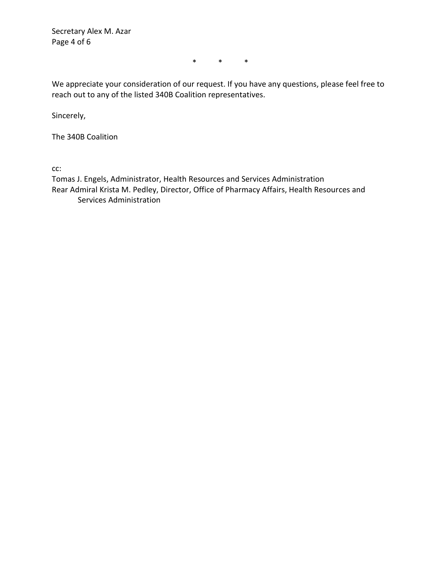Secretary Alex M. Azar Page 4 of 6

\* \* \*

We appreciate your consideration of our request. If you have any questions, please feel free to reach out to any of the listed 340B Coalition representatives.

Sincerely,

The 340B Coalition

cc:

Tomas J. Engels, Administrator, Health Resources and Services Administration Rear Admiral Krista M. Pedley, Director, Office of Pharmacy Affairs, Health Resources and Services Administration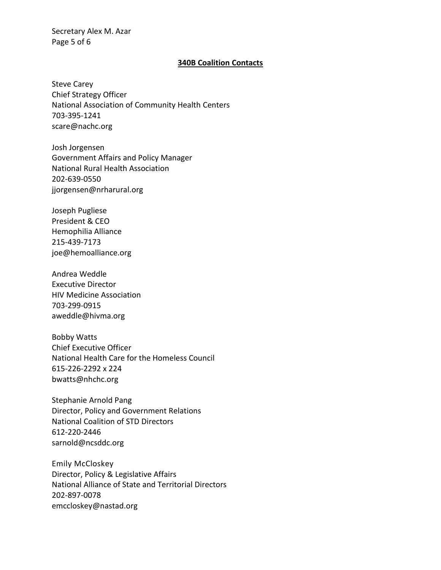Secretary Alex M. Azar Page 5 of 6

#### **340B Coalition Contacts**

Steve Carey Chief Strategy Officer National Association of Community Health Centers 703-395-1241 scare@nachc.org

Josh Jorgensen Government Affairs and Policy Manager National Rural Health Association 202-639-0550 jjorgensen@nrharural.org

Joseph Pugliese President & CEO Hemophilia Alliance 215-439-7173 joe@hemoalliance.org

Andrea Weddle Executive Director HIV Medicine Association 703-299-0915 aweddle@hivma.org

Bobby Watts Chief Executive Officer National Health Care for the Homeless Council 615-226-2292 x 224 bwatts@nhchc.org

Stephanie Arnold Pang Director, Policy and Government Relations National Coalition of STD Directors 612-220-2446 sarnold@ncsddc.org

Emily McCloskey Director, Policy & Legislative Affairs National Alliance of State and Territorial Directors 202-897-0078 emccloskey@nastad.org